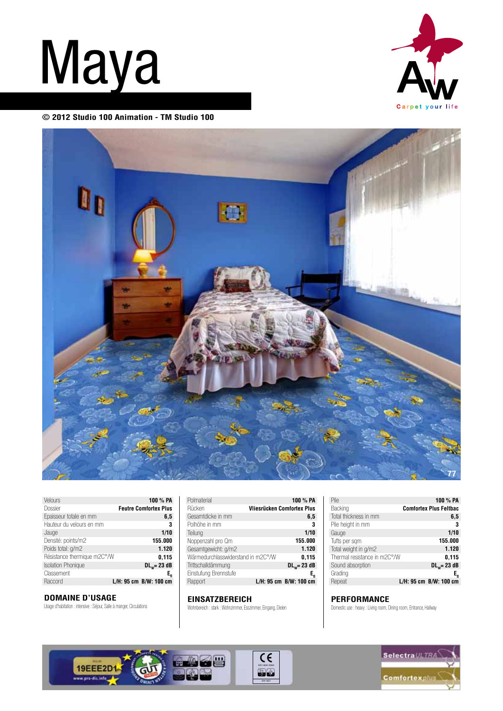## **Maya**



**© 2012 Studio 100 Animation - TM Studio 100**



| Velours                     | 100 % PA                     |
|-----------------------------|------------------------------|
| Dossier                     | <b>Feutre Comfortex Plus</b> |
| Epaisseur totale en mm      | 6,5                          |
| Hauteur du velours en mm    | 3                            |
| Jauge                       | 1/10                         |
| Densité: points/m2          | 155.000                      |
| Poids total: g/m2           | 1.120                        |
| Résistance thermique m2C°/W | 0,115                        |
| <b>Isolation Phonique</b>   | $DLw = 23 dB$                |
| Classement                  | E,                           |
| Raccord                     | L/H: 95 cm B/W: 100 cm       |

## **DOMAINE D'USAGE**

Usage d'habitation : intensive : Séjour, Salle à manger, Circulations

| 100 % PA                                    |
|---------------------------------------------|
| <b>Vliesrücken Comfortex Plus</b>           |
| 6,5                                         |
| 3                                           |
| 1/10                                        |
| 155.000                                     |
| 1.120                                       |
| Wärmedurchlasswiderstand in m2C°/W<br>0,115 |
| $DLw = 23 dB$                               |
| Е,                                          |
| L/H: 95 cm B/W: 100 cm                      |
|                                             |

## **EINSATZBEREICH**

Wohnbereich : stark : Wohnzimmer, Esszimmer, Eingang, Dielen

| Pile                         | 100 % PA                      |
|------------------------------|-------------------------------|
| Backing                      | <b>Comfortex Plus Feltbac</b> |
| Total thickness in mm        | 6,5                           |
| Pile height in mm            | 3                             |
| Gauge                        | 1/10                          |
| Tufts per sam                | 155.000                       |
| Total weight in g/m2         | 1.120                         |
| Thermal resistance in m2C°/W | 0,115                         |
| Sound absorption             | $DLw = 23 dB$                 |
| Grading                      | E,                            |
| Repeat                       | L/H: 95 cm B/W: 100 cm        |

## **PERFORMANCE**

Domestic use : heavy : Living room, Dining room, Entrance, Hallway